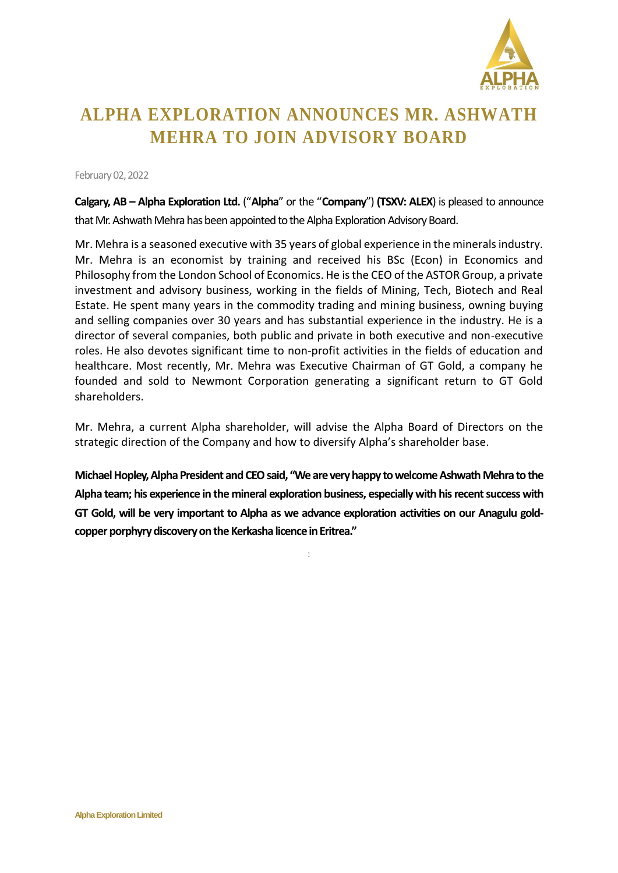

## **ALPHA EXPLORATION ANNOUNCES MR. ASHWATH MEHRA TO JOIN ADVISORY BOARD**

February 02,2022

**Calgary, AB – Alpha Exploration Ltd.** ("**Alpha**" or the "**Company**") **(TSXV: ALEX**) is pleased to announce that Mr. Ashwath Mehra has been appointed to the Alpha Exploration Advisory Board.

Mr. Mehra is a seasoned executive with 35 years of global experience in the minerals industry. Mr. Mehra is an economist by training and received his BSc (Econ) in Economics and Philosophy from the London School of Economics. He is the CEO of the ASTOR Group, a private investment and advisory business, working in the fields of Mining, Tech, Biotech and Real Estate. He spent many years in the commodity trading and mining business, owning buying and selling companies over 30 years and has substantial experience in the industry. He is a director of several companies, both public and private in both executive and non-executive roles. He also devotes significant time to non-profit activities in the fields of education and healthcare. Most recently, Mr. Mehra was Executive Chairman of GT Gold, a company he founded and sold to Newmont Corporation generating a significant return to GT Gold shareholders.

Mr. Mehra, a current Alpha shareholder, will advise the Alpha Board of Directors on the strategic direction of the Company and how to diversify Alpha's shareholder base.

**Michael Hopley, Alpha President and CEO said, "We are very happy to welcome Ashwath Mehra to the Alpha team; his experience in the mineral exploration business, especially with his recent success with GT Gold, will be very important to Alpha as we advance exploration activities on our Anagulu goldcopper porphyry discovery on the Kerkasha licence in Eritrea."**

: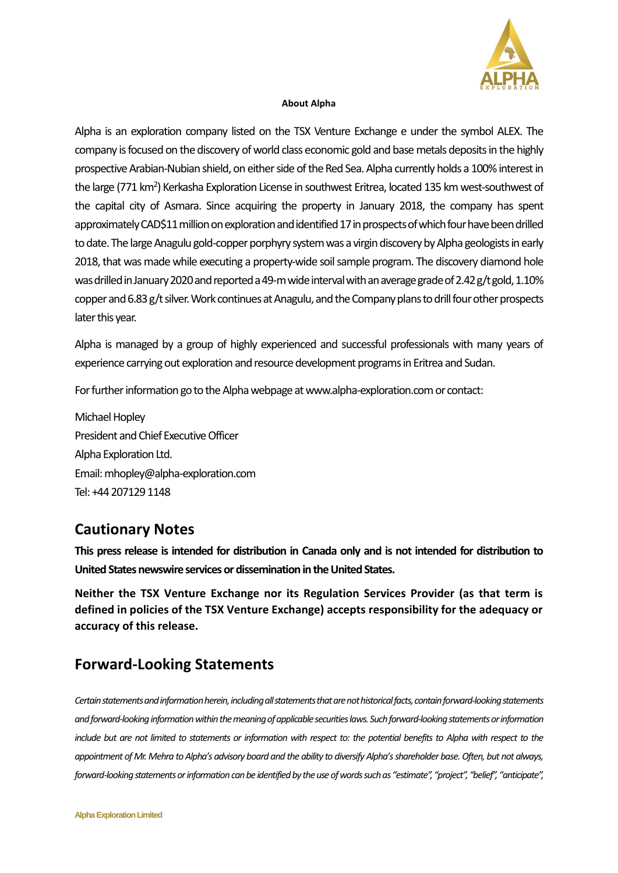

## **About Alpha**

Alpha is an exploration company listed on the TSX Venture Exchange e under the symbol ALEX. The company is focused on the discovery of world class economic gold and base metals deposits in the highly prospective Arabian-Nubian shield, on either side of the Red Sea. Alpha currently holds a 100% interest in the large (771 km<sup>2</sup>) Kerkasha Exploration License in southwest Eritrea, located 135 km west-southwest of the capital city of Asmara. Since acquiring the property in January 2018, the company has spent approximately CAD\$11million on exploration and identified 17in prospects of which four have been drilled to date. The large Anagulu gold-copper porphyry system was a virgin discovery by Alpha geologists in early 2018, that was made while executing a property-wide soil sample program. The discovery diamond hole was drilled in January 2020 and reported a 49-m wide interval with an average grade of 2.42 g/t gold, 1.10% copper and 6.83 g/t silver. Work continues at Anagulu, and the Company plans to drill four other prospects later this year.

Alpha is managed by a group of highly experienced and successful professionals with many years of experience carrying out exploration and resource development programs in Eritrea and Sudan.

For further information go to the Alpha webpage at www.alpha-exploration.com or contact:

Michael Hopley President and Chief Executive Officer Alpha Exploration Ltd. Email: mhopley@alpha-exploration.com Tel: +44 207129 1148

## **Cautionary Notes**

**This press release is intended for distribution in Canada only and is not intended for distribution to United States newswire services or dissemination in the United States.**

**Neither the TSX Venture Exchange nor its Regulation Services Provider (as that term is defined in policies of the TSX Venture Exchange) accepts responsibility for the adequacy or accuracy of this release.**

## **Forward-Looking Statements**

*Certain statements and information herein, including all statements that are not historical facts, contain forward-looking statements and forward-looking information within the meaning of applicable securities laws. Such forward-looking statements or information include but are not limited to statements or information with respect to: the potential benefits to Alpha with respect to the appointment of Mr. Mehra to Alpha's advisory board and the ability to diversify Alpha's shareholder base. Often, but not always, forward-looking statements or information can be identified by the use of words such as "estimate", "project", "belief", "anticipate",*